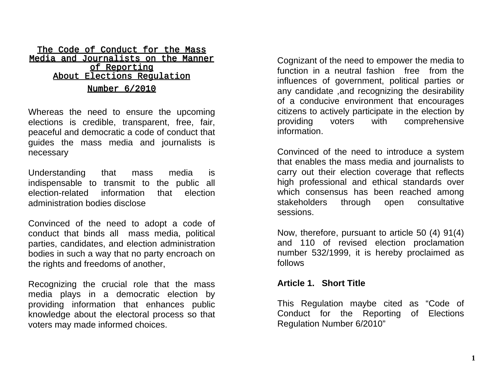#### The Code of Conduct for the Mass Media and Journalists on the Manner of Reporting About Elections Regulation Number 6/2010

Whereas the need to ensure the upcoming elections is credible, transparent, free, fair, peaceful and democratic a code of conduct that guides the mass media and journalists is necessary

Understanding that mass media is indispensable to transmit to the public all election-related information that election administration bodies disclose

Convinced of the need to adopt a code of conduct that binds all mass media, political parties, candidates, and election administration bodies in such a way that no party encroach on the rights and freedoms of another,

Recognizing the crucial role that the mass media plays in a democratic election by providing information that enhances public knowledge about the electoral process so that voters may made informed choices.

Cognizant of the need to empower the media to function in a neutral fashion free from the influences of government, political parties or any candidate ,and recognizing the desirability of a conducive environment that encourages citizens to actively participate in the election by providing voters with comprehensive information.

Convinced of the need to introduce a system that enables the mass media and journalists to carry out their election coverage that reflects high professional and ethical standards over which consensus has been reached among stakeholders through open consultative sessions.

Now, therefore, pursuant to article 50 (4) 91(4) and 110 of revised election proclamation number 532/1999, it is hereby proclaimed as follows

#### **Article 1. Short Title**

This Regulation maybe cited as "Code of Conduct for the Reporting of Elections Regulation Number 6/2010"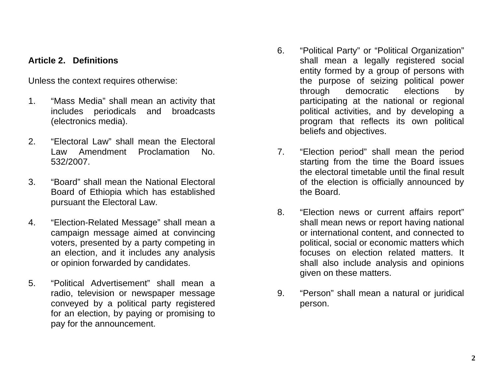### **Article 2. Definitions**

Unless the context requires otherwise:

- 1. "Mass Media" shall mean an activity that includes periodicals and broadcasts (electronics media).
- 2. "Electoral Law" shall mean the Electoral Law Amendment Proclamation No. 532/2007.
- 3. "Board" shall mean the National Electoral Board of Ethiopia which has established pursuant the Electoral Law.
- 4. "Election-Related Message" shall mean a campaign message aimed at convincing voters, presented by a party competing in an election, and it includes any analysis or opinion forwarded by candidates.
- 5. "Political Advertisement" shall mean a radio, television or newspaper message conveyed by a political party registered for an election, by paying or promising to pay for the announcement.
- 6. "Political Party" or "Political Organization" shall mean a legally registered social entity formed by a group of persons with the purpose of seizing political power through democratic elections by participating at the national or regional political activities, and by developing a program that reflects its own political beliefs and objectives.
- 7. "Election period" shall mean the period starting from the time the Board issues the electoral timetable until the final result of the election is officially announced by the Board.
- 8. "Election news or current affairs report" shall mean news or report having national or international content, and connected to political, social or economic matters which focuses on election related matters. It shall also include analysis and opinions given on these matters.
- 9. "Person" shall mean a natural or juridical person.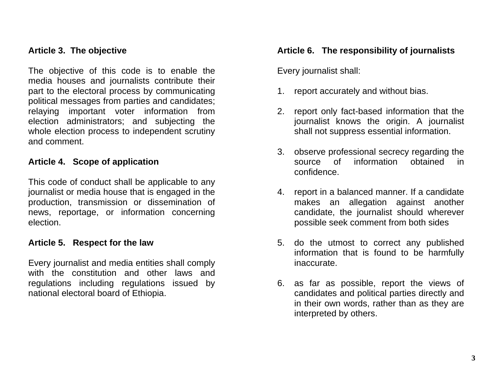### **Article 3. The objective**

The objective of this code is to enable the media houses and journalists contribute their part to the electoral process by communicating political messages from parties and candidates; relaying important voter information from election administrators; and subjecting the whole election process to independent scrutiny and comment.

### **Article 4. Scope of application**

This code of conduct shall be applicable to any journalist or media house that is engaged in the production, transmission or dissemination of news, reportage, or information concerning election.

### **Article 5. Respect for the law**

Every journalist and media entities shall comply with the constitution and other laws and regulations including regulations issued by national electoral board of Ethiopia.

### **Article 6. The responsibility of journalists**

Every journalist shall:

- 1. report accurately and without bias.
- 2. report only fact-based information that the journalist knows the origin. A journalist shall not suppress essential information.
- 3. observe professional secrecy regarding the source of information obtained in confidence.
- 4. report in a balanced manner. If a candidate makes an allegation against another candidate, the journalist should wherever possible seek comment from both sides
- 5. do the utmost to correct any published information that is found to be harmfully inaccurate.
- 6. as far as possible, report the views of candidates and political parties directly and in their own words, rather than as they are interpreted by others.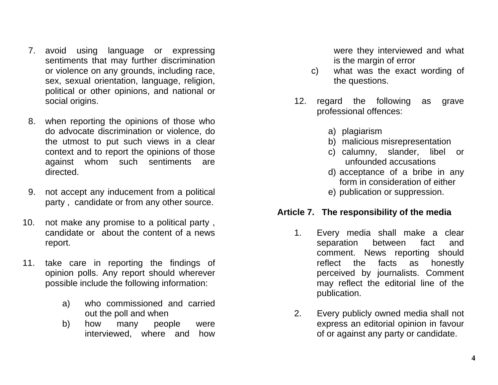- 7. avoid using language or expressing sentiments that may further discrimination or violence on any grounds, including race, sex, sexual orientation, language, religion, political or other opinions, and national or social origins.
- 8. when reporting the opinions of those who do advocate discrimination or violence, do the utmost to put such views in a clear context and to report the opinions of those against whom such sentiments are directed.
- 9. not accept any inducement from a political party , candidate or from any other source.
- 10. not make any promise to a political party , candidate or about the content of a news report.
- 11. take care in reporting the findings of opinion polls. Any report should wherever possible include the following information:
	- a) who commissioned and carried out the poll and when
	- b) how many people were interviewed, where and how

were they interviewed and what is the margin of error

- c) what was the exact wording of the questions.
- 12. regard the following as grave professional offences:
	- a) plagiarism
	- b) malicious misrepresentation
	- c) calumny, slander, libel or unfounded accusations
	- d) acceptance of a bribe in any form in consideration of either
	- e) publication or suppression.

# **Article 7. The responsibility of the media**

- 1. Every media shall make a clear separation between fact and comment. News reporting should reflect the facts as honestly perceived by journalists. Comment may reflect the editorial line of the publication.
- 2. Every publicly owned media shall not express an editorial opinion in favour of or against any party or candidate.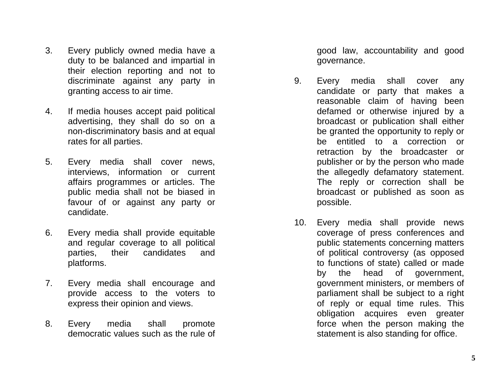- 3. Every publicly owned media have a duty to be balanced and impartial in their election reporting and not to discriminate against any party in granting access to air time.
- 4. If media houses accept paid political advertising, they shall do so on a non -discriminatory basis and at equal rates for all parties.
- 5. Every media shall cover news, interviews, information or current affairs programmes or articles. The public media shall not be biased in favour of or against any party or candidate.
- 6. Every media shall provide equitable and regular coverage to all political parties, their candidates and platforms.
- 7. Every media shall encourage and provide access to the voters to express their opinion and views.
- 8. Every media shall promote democratic values such as the rule of

good law, accountability and good governance.

- 9. Every media shall cover any candidate or party that makes a reasonable claim of having been defamed or otherwise injured by a broadcast or publication shall either be granted the opportunity to reply or be entitled to a correction or retraction by the broadcaster or publisher or by the person who made the allegedly defamatory statement. The reply or correction shall be broadcast or published as soon as possible.
- 10. Every media shall provide news coverage of press conferences and public statements concerning matters of political controversy (as opposed to functions of state) called or made by the head of government, government ministers, or members of parliament shall be subject to a right of reply or equal time rules. This obligation acquires even greater force when the person making the statement is also standing for office.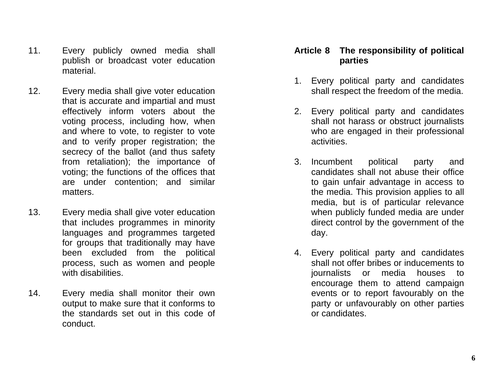- 11. Every publicly owned media shall publish or broadcast voter education material.
- 12. Every media shall give voter education that is accurate and impartial and must effectively inform voters about the voting process, including how, when and where to vote, to register to vote and to verify proper registration; the secrecy of the ballot (and thus safety from retaliation); the importance of voting; the functions of the offices that are under contention; and similar matters.
- 13. Every media shall give voter education that includes programmes in minority languages and programmes targeted for groups that traditionally may have been excluded from the political process, such as women and people with disabilities.
- 14. Every media shall monitor their own output to make sure that it conforms to the standards set out in this code of conduct.

## **Article 8 The responsibility of political parties**

- 1. Every political party and candidates shall respect the freedom of the media.
- 2. Every political party and candidates shall not harass or obstruct journalists who are engaged in their professional activities.
- 3. Incumbent political party and candidates shall not abuse their office to gain unfair advantage in access to the media. This provision applies to all media, but is of particular relevance when publicly funded media are under direct control by the government of the day.
- 4. Every political party and candidates shall not offer bribes or inducements to journalists or media houses to encourage them to attend campaign events or to report favourably on the party or unfavourably on other parties or candidates.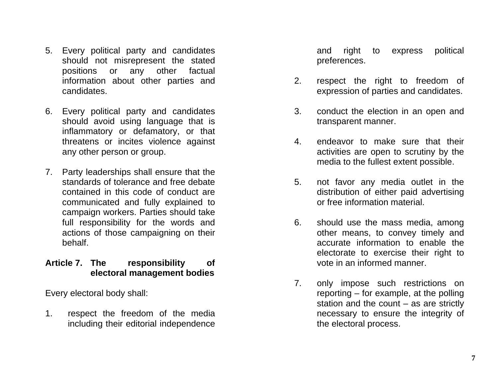- 5. Every political party and candidates should not misrepresent the stated positions or any other factual information about other parties and candidates.
- 6. Every political party and candidates should avoid using language that is inflammatory or defamatory, or that threatens or incites violence against any other person or group.
- 7. Party leaderships shall ensure that the standards of tolerance and free debate contained in this code of conduct are communicated and fully explained to campaign workers. Parties should take full responsibility for the words and actions of those campaigning on their behalf.

## **Article 7. The responsibility of electoral management bodies**

Every electoral body shall:

1. respect the freedom of the media including their editorial independence

and right to express political preferences.

- 2. respect the right to freedom of expression of parties and candidates.
- 3. conduct the election in an open and transparent manner.
- 4. endeavor to make sure that their activities are open to scrutiny by the media to the fullest extent possible.
- 5. not favor any media outlet in the distribution of either paid advertising or free information material.
- 6. should use the mass media, among other means, to convey timely and accurate information to enable the electorate to exercise their right to vote in an informed manner.
- 7. only impose such restrictions on reporting – for example, at the polling station and the count  $-$  as are strictly necessary to ensure the integrity of the electoral process.